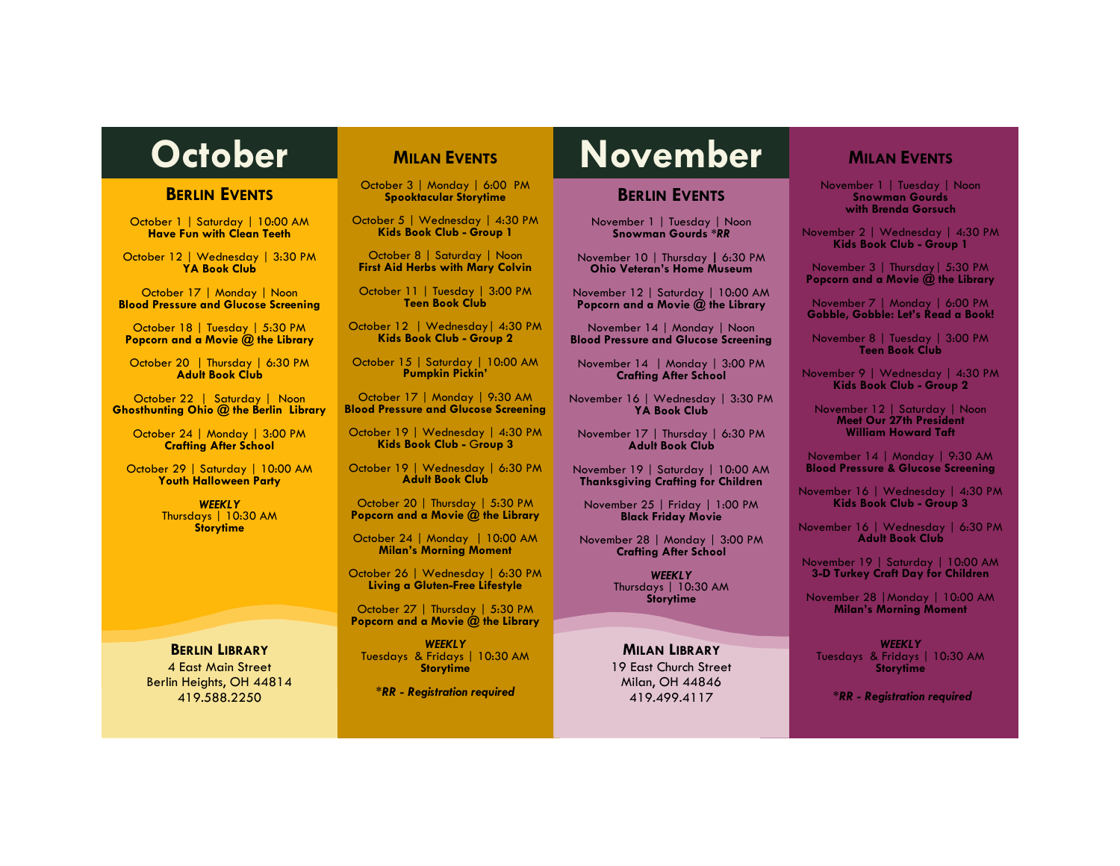#### **BERLIN EVENTS**

October 1 | Saturday | 10:00 AM **Have Fun with Clean Teeth**

October 12 | Wednesday | 3:30 PM **YA Book Club**

October 17 | Monday | Noon **Blood Pressure and Glucose Screening**

October 18 | Tuesday | 5:30 PM **Popcorn and a Movie @ the Library**

October 20 | Thursday | 6:30 PM **Adult Book Club**

October 22 | Saturday | Noon **Ghosthunting Ohio @ the Berlin Library**

October 24 | Monday | 3:00 PM **Crafting After School**

October 29 | Saturday | 10:00 AM **Youth Halloween Party**

> *WEEKLY* Thursdays | 10:30 AM **Storytime**

### **BERLIN LIBRARY**

4 East Main Street Berlin Heights, OH 44814 419.588.2250

# **MILAN EVENTS**

October 3 | Monday | 6:00 PM **Spooktacular Storytime**

October 5 | Wednesday | 4:30 PM **Kids Book Club - Group 1**

October 8 | Saturday | Noon **First Aid Herbs with Mary Colvin**

October 11 | Tuesday | 3:00 PM **Teen Book Club**

October 12 | Wednesday| 4:30 PM **Kids Book Club - Group 2**

October 15 | Saturday | 10:00 AM **Pumpkin Pickin'**

October 17 | Monday | 9:30 AM **Blood Pressure and Glucose Screening**

October 19 | Wednesday | 4:30 PM **Kids Book Club -** G**roup 3**

October 19 | Wednesday | 6:30 PM **Adult Book Club**

October 20 | Thursday | 5:30 PM **Popcorn and a Movie @ the Library**

October 24 | Monday | 10:00 AM **Milan's Morning Moment**

October 26 | Wednesday | 6:30 PM **Living a Gluten-Free Lifestyle**

October 27 | Thursday | 5:30 PM **Popcorn and a Movie @ the Library**

*WEEKLY* Tuesdays & Fridays | 10:30 AM **Storytime**

*\*RR - Registration required*

# October **Nutan EVENTS** November

#### **BERLIN EVENTS**

November 1 | Tuesday | Noon **Snowman Gourds \****RR*

November 10 | Thursday **|** 6:30 PM **Ohio Veteran's Home Museum** 

November 12 | Saturday | 10:00 AM **Popcorn and a Movie @ the Library**

November 14 | Monday | Noon **Blood Pressure and Glucose Screening**

November 14 | Monday | 3:00 PM **Crafting After School**

November 16 | Wednesday | 3:30 PM **YA Book Club**

November 17 | Thursday | 6:30 PM **Adult Book Club**

November 19 | Saturday | 10:00 AM **Thanksgiving Crafting for Children**

November 25 | Friday | 1:00 PM **Black Friday Movie**

November 28 | Monday | 3:00 PM **Crafting After School**

> *WEEKLY* Thursdays | 10:30 AM **Storytime**

**MILAN LIBRARY** 19 East Church Street Milan, OH 44846 419.499.4117

# **MILAN EVENTS**

November 1 | Tuesday | Noon **Snowman Gourds with Brenda Gorsuch**

November 2 | Wednesday | 4:30 PM **Kids Book Club - Group 1**

November 3 | Thursday| 5:30 PM **Popcorn and a Movie @ the Library**

November 7 | Monday | 6:00 PM **Gobble, Gobble: Let's Read a Book!**

November 8 | Tuesday | 3:00 PM **Teen Book Club**

November 9 | Wednesday | 4:30 PM **Kids Book Club - Group 2**

November 12 | Saturday | Noon **Meet Our 27th President William Howard Taft**

November 14 | Monday | 9:30 AM **Blood Pressure & Glucose Screening**

November 16 | Wednesday | 4:30 PM **Kids Book Club - Group 3**

November 16 | Wednesday | 6:30 PM **Adult Book Club**

November 19 | Saturday | 10:00 AM **3-D Turkey Craft Day for Children**

November 28 |Monday | 10:00 AM **Milan's Morning Moment**

*WEEKLY* Tuesdays & Fridays | 10:30 AM **Storytime**

*\*RR - Registration required*